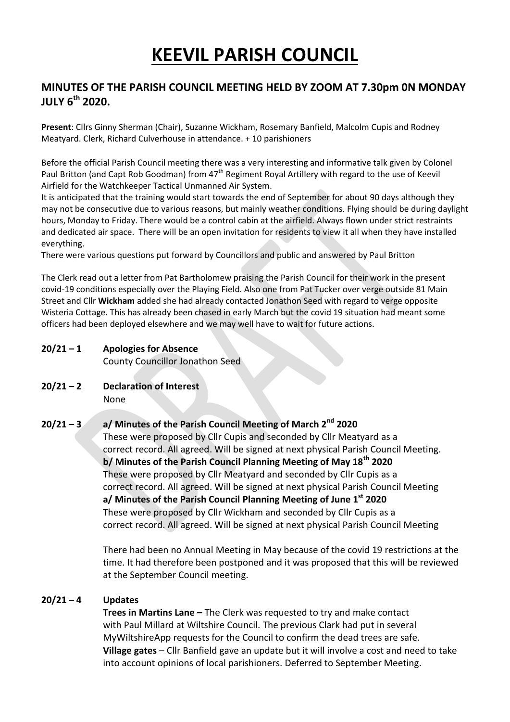# **KEEVIL PARISH COUNCIL**

# **MINUTES OF THE PARISH COUNCIL MEETING HELD BY ZOOM AT 7.30pm 0N MONDAY JULY 6th 2020.**

**Present**: Cllrs Ginny Sherman (Chair), Suzanne Wickham, Rosemary Banfield, Malcolm Cupis and Rodney Meatyard. Clerk, Richard Culverhouse in attendance. + 10 parishioners

Before the official Parish Council meeting there was a very interesting and informative talk given by Colonel Paul Britton (and Capt Rob Goodman) from 47<sup>th</sup> Regiment Royal Artillery with regard to the use of Keevil Airfield for the Watchkeeper Tactical Unmanned Air System.

It is anticipated that the training would start towards the end of September for about 90 days although they may not be consecutive due to various reasons, but mainly weather conditions. Flying should be during daylight hours, Monday to Friday. There would be a control cabin at the airfield. Always flown under strict restraints and dedicated air space. There will be an open invitation for residents to view it all when they have installed everything.

There were various questions put forward by Councillors and public and answered by Paul Britton

The Clerk read out a letter from Pat Bartholomew praising the Parish Council for their work in the present covid-19 conditions especially over the Playing Field. Also one from Pat Tucker over verge outside 81 Main Street and Cllr **Wickham** added she had already contacted Jonathon Seed with regard to verge opposite Wisteria Cottage. This has already been chased in early March but the covid 19 situation had meant some officers had been deployed elsewhere and we may well have to wait for future actions.

#### **20/21 – 1 Apologies for Absence**

County Councillor Jonathon Seed

**20/21 – 2 Declaration of Interest** None

## **20/21 – 3 a/ Minutes of the Parish Council Meeting of March 2nd 2020**

These were proposed by Cllr Cupis and seconded by Cllr Meatyard as a correct record. All agreed. Will be signed at next physical Parish Council Meeting. **b/ Minutes of the Parish Council Planning Meeting of May 18th 2020** These were proposed by Cllr Meatyard and seconded by Cllr Cupis as a correct record. All agreed. Will be signed at next physical Parish Council Meeting **a/ Minutes of the Parish Council Planning Meeting of June 1st 2020** These were proposed by Cllr Wickham and seconded by Cllr Cupis as a correct record. All agreed. Will be signed at next physical Parish Council Meeting

There had been no Annual Meeting in May because of the covid 19 restrictions at the time. It had therefore been postponed and it was proposed that this will be reviewed at the September Council meeting.

#### **20/21 – 4 Updates**

**Trees in Martins Lane –** The Clerk was requested to try and make contact with Paul Millard at Wiltshire Council. The previous Clark had put in several MyWiltshireApp requests for the Council to confirm the dead trees are safe. **Village gates** – Cllr Banfield gave an update but it will involve a cost and need to take into account opinions of local parishioners. Deferred to September Meeting.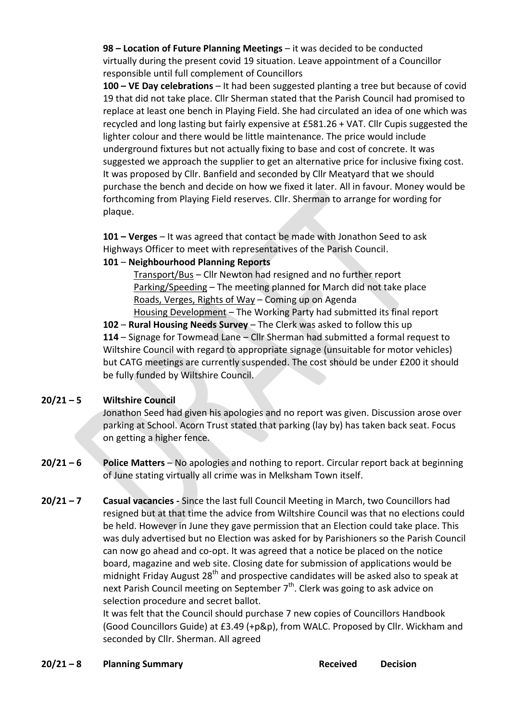**98 – Location of Future Planning Meetings** – it was decided to be conducted virtually during the present covid 19 situation. Leave appointment of a Councillor responsible until full complement of Councillors

**100 – VE Day celebrations** – It had been suggested planting a tree but because of covid 19 that did not take place. Cllr Sherman stated that the Parish Council had promised to replace at least one bench in Playing Field. She had circulated an idea of one which was recycled and long lasting but fairly expensive at £581.26 + VAT. Cllr Cupis suggested the lighter colour and there would be little maintenance. The price would include underground fixtures but not actually fixing to base and cost of concrete. It was suggested we approach the supplier to get an alternative price for inclusive fixing cost. It was proposed by Cllr. Banfield and seconded by Cllr Meatyard that we should purchase the bench and decide on how we fixed it later. All in favour. Money would be forthcoming from Playing Field reserves. Cllr. Sherman to arrange for wording for plaque.

**101 – Verges** – It was agreed that contact be made with Jonathon Seed to ask Highways Officer to meet with representatives of the Parish Council.

## **101** – **Neighbourhood Planning Reports**

Transport/Bus – Cllr Newton had resigned and no further report Parking/Speeding – The meeting planned for March did not take place Roads, Verges, Rights of Way – Coming up on Agenda

Housing Development - The Working Party had submitted its final report **102** – **Rural Housing Needs Survey** – The Clerk was asked to follow this up **114** – Signage for Towmead Lane – Cllr Sherman had submitted a formal request to Wiltshire Council with regard to appropriate signage (unsuitable for motor vehicles) but CATG meetings are currently suspended. The cost should be under £200 it should be fully funded by Wiltshire Council.

## **20/21 – 5 Wiltshire Council**

Jonathon Seed had given his apologies and no report was given. Discussion arose over parking at School. Acorn Trust stated that parking (lay by) has taken back seat. Focus on getting a higher fence.

- **20/21 – 6 Police Matters** No apologies and nothing to report. Circular report back at beginning of June stating virtually all crime was in Melksham Town itself.
- **20/21 – 7 Casual vacancies -** Since the last full Council Meeting in March, two Councillors had resigned but at that time the advice from Wiltshire Council was that no elections could be held. However in June they gave permission that an Election could take place. This was duly advertised but no Election was asked for by Parishioners so the Parish Council can now go ahead and co-opt. It was agreed that a notice be placed on the notice board, magazine and web site. Closing date for submission of applications would be midnight Friday August  $28<sup>th</sup>$  and prospective candidates will be asked also to speak at next Parish Council meeting on September 7<sup>th</sup>. Clerk was going to ask advice on selection procedure and secret ballot.

It was felt that the Council should purchase 7 new copies of Councillors Handbook (Good Councillors Guide) at £3.49 (+p&p), from WALC. Proposed by Cllr. Wickham and seconded by Cllr. Sherman. All agreed

## **20/21 – 8 Planning Summary Received Decision**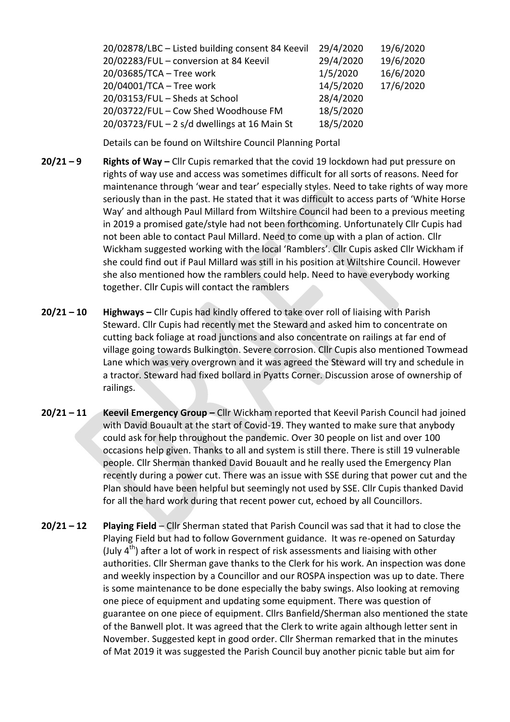| 20/02878/LBC - Listed building consent 84 Keevil | 29/4/2020 | 19/6/2020 |
|--------------------------------------------------|-----------|-----------|
| 20/02283/FUL - conversion at 84 Keevil           | 29/4/2020 | 19/6/2020 |
| 20/03685/TCA - Tree work                         | 1/5/2020  | 16/6/2020 |
| 20/04001/TCA - Tree work                         | 14/5/2020 | 17/6/2020 |
| 20/03153/FUL - Sheds at School                   | 28/4/2020 |           |
| 20/03722/FUL - Cow Shed Woodhouse FM             | 18/5/2020 |           |
| $20/03723/FUL - 2 s/d$ dwellings at 16 Main St   | 18/5/2020 |           |

Details can be found on Wiltshire Council Planning Portal

- **20/21 – 9 Rights of Way –** Cllr Cupis remarked that the covid 19 lockdown had put pressure on rights of way use and access was sometimes difficult for all sorts of reasons. Need for maintenance through 'wear and tear' especially styles. Need to take rights of way more seriously than in the past. He stated that it was difficult to access parts of 'White Horse Way' and although Paul Millard from Wiltshire Council had been to a previous meeting in 2019 a promised gate/style had not been forthcoming. Unfortunately Cllr Cupis had not been able to contact Paul Millard. Need to come up with a plan of action. Cllr Wickham suggested working with the local 'Ramblers'. Cllr Cupis asked Cllr Wickham if she could find out if Paul Millard was still in his position at Wiltshire Council. However she also mentioned how the ramblers could help. Need to have everybody working together. Cllr Cupis will contact the ramblers
- **20/21 – 10 Highways –** Cllr Cupis had kindly offered to take over roll of liaising with Parish Steward. Cllr Cupis had recently met the Steward and asked him to concentrate on cutting back foliage at road junctions and also concentrate on railings at far end of village going towards Bulkington. Severe corrosion. Cllr Cupis also mentioned Towmead Lane which was very overgrown and it was agreed the Steward will try and schedule in a tractor. Steward had fixed bollard in Pyatts Corner. Discussion arose of ownership of railings.
- **20/21 – 11 Keevil Emergency Group –** Cllr Wickham reported that Keevil Parish Council had joined with David Bouault at the start of Covid-19. They wanted to make sure that anybody could ask for help throughout the pandemic. Over 30 people on list and over 100 occasions help given. Thanks to all and system is still there. There is still 19 vulnerable people. Cllr Sherman thanked David Bouault and he really used the Emergency Plan recently during a power cut. There was an issue with SSE during that power cut and the Plan should have been helpful but seemingly not used by SSE. Cllr Cupis thanked David for all the hard work during that recent power cut, echoed by all Councillors.
- **20/21 – 12 Playing Field** Cllr Sherman stated that Parish Council was sad that it had to close the Playing Field but had to follow Government guidance. It was re-opened on Saturday (July  $4<sup>th</sup>$ ) after a lot of work in respect of risk assessments and liaising with other authorities. Cllr Sherman gave thanks to the Clerk for his work. An inspection was done and weekly inspection by a Councillor and our ROSPA inspection was up to date. There is some maintenance to be done especially the baby swings. Also looking at removing one piece of equipment and updating some equipment. There was question of guarantee on one piece of equipment. Cllrs Banfield/Sherman also mentioned the state of the Banwell plot. It was agreed that the Clerk to write again although letter sent in November. Suggested kept in good order. Cllr Sherman remarked that in the minutes of Mat 2019 it was suggested the Parish Council buy another picnic table but aim for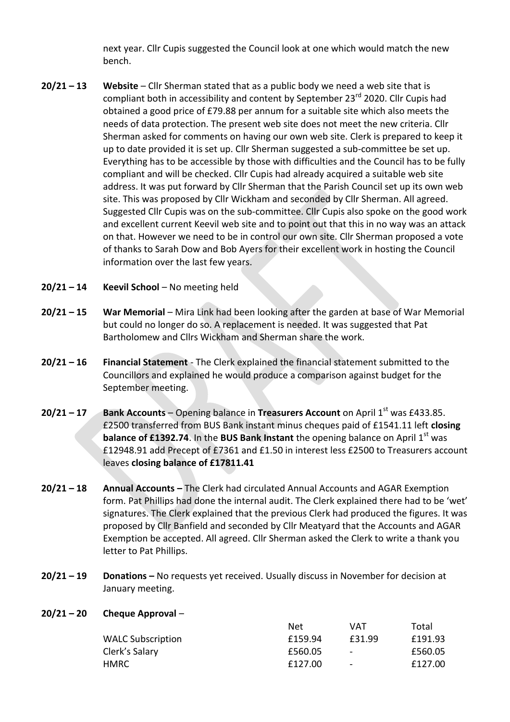next year. Cllr Cupis suggested the Council look at one which would match the new bench.

- **20/21 – 13 Website** Cllr Sherman stated that as a public body we need a web site that is compliant both in accessibility and content by September 23<sup>rd</sup> 2020. Cllr Cupis had obtained a good price of £79.88 per annum for a suitable site which also meets the needs of data protection. The present web site does not meet the new criteria. Cllr Sherman asked for comments on having our own web site. Clerk is prepared to keep it up to date provided it is set up. Cllr Sherman suggested a sub-committee be set up. Everything has to be accessible by those with difficulties and the Council has to be fully compliant and will be checked. Cllr Cupis had already acquired a suitable web site address. It was put forward by Cllr Sherman that the Parish Council set up its own web site. This was proposed by Cllr Wickham and seconded by Cllr Sherman. All agreed. Suggested Cllr Cupis was on the sub-committee. Cllr Cupis also spoke on the good work and excellent current Keevil web site and to point out that this in no way was an attack on that. However we need to be in control our own site. Cllr Sherman proposed a vote of thanks to Sarah Dow and Bob Ayers for their excellent work in hosting the Council information over the last few years.
- **20/21 – 14 Keevil School** No meeting held
- **20/21 – 15 War Memorial** Mira Link had been looking after the garden at base of War Memorial but could no longer do so. A replacement is needed. It was suggested that Pat Bartholomew and Cllrs Wickham and Sherman share the work.
- **20/21 – 16 Financial Statement** The Clerk explained the financial statement submitted to the Councillors and explained he would produce a comparison against budget for the September meeting.
- **20/21 17 Bank Accounts** Opening balance in **Treasurers Account** on April 1<sup>st</sup> was £433.85. £2500 transferred from BUS Bank instant minus cheques paid of £1541.11 left **closing balance of £1392.74**. In the **BUS Bank Instant** the opening balance on April 1<sup>st</sup> was £12948.91 add Precept of £7361 and £1.50 in interest less £2500 to Treasurers account leaves **closing balance of £17811.41**
- **20/21 – 18 Annual Accounts –** The Clerk had circulated Annual Accounts and AGAR Exemption form. Pat Phillips had done the internal audit. The Clerk explained there had to be 'wet' signatures. The Clerk explained that the previous Clerk had produced the figures. It was proposed by Cllr Banfield and seconded by Cllr Meatyard that the Accounts and AGAR Exemption be accepted. All agreed. Cllr Sherman asked the Clerk to write a thank you letter to Pat Phillips.
- **20/21 – 19 Donations –** No requests yet received. Usually discuss in November for decision at January meeting.
- **20/21 – 20 Cheque Approval** –

|                          | Net     | VAT                      | Total   |
|--------------------------|---------|--------------------------|---------|
| <b>WALC Subscription</b> | £159.94 | £31.99                   | £191.93 |
| Clerk's Salary           | £560.05 | $\overline{\phantom{a}}$ | £560.05 |
| HMRC                     | £127.00 | $\overline{\phantom{a}}$ | £127.00 |